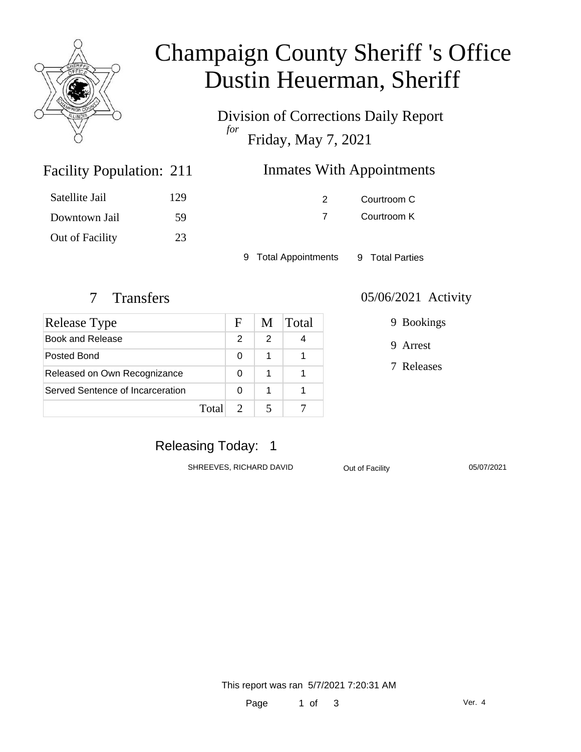

# Champaign County Sheriff 's Office Dustin Heuerman, Sheriff

Division of Corrections Daily Report *for* Friday, May 7, 2021

| 211 | <b>Inmates With Appointments</b> |
|-----|----------------------------------|
| 129 | Courtroom C                      |

7 Courtroom K

9 Total Appointments 9 Total Parties

Facility Population: 211

Satellite Jail 129

Downtown Jail 59

Out of Facility 23

| <b>Release Type</b>              |       | F | M | Total |
|----------------------------------|-------|---|---|-------|
| Book and Release                 |       | 2 | 2 |       |
| Posted Bond                      |       | 0 | 1 |       |
| Released on Own Recognizance     |       | 0 | 1 |       |
| Served Sentence of Incarceration |       | O | 1 |       |
|                                  | Total |   |   |       |

#### 7 Transfers 05/06/2021 Activity

9 Bookings

9 Arrest

7 Releases

### Releasing Today: 1

SHREEVES, RICHARD DAVID Out of Facility 05/07/2021

This report was ran 5/7/2021 7:20:31 AM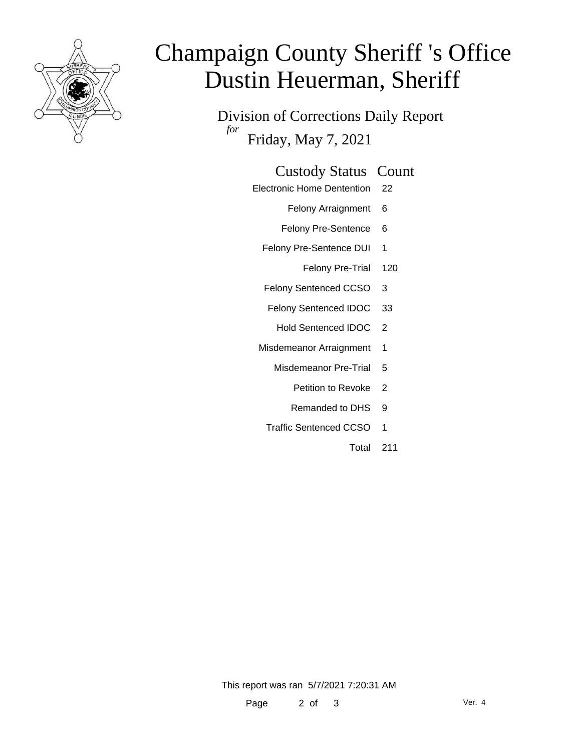

# Champaign County Sheriff 's Office Dustin Heuerman, Sheriff

Division of Corrections Daily Report *for* Friday, May 7, 2021

#### Custody Status Count

- Electronic Home Dentention 22
	- Felony Arraignment 6
	- Felony Pre-Sentence 6
	- Felony Pre-Sentence DUI 1
		- Felony Pre-Trial 120
	- Felony Sentenced CCSO 3
	- Felony Sentenced IDOC 33
		- Hold Sentenced IDOC 2
	- Misdemeanor Arraignment 1
		- Misdemeanor Pre-Trial 5
			- Petition to Revoke 2
			- Remanded to DHS 9
		- Traffic Sentenced CCSO 1
			- Total 211

This report was ran 5/7/2021 7:20:31 AM